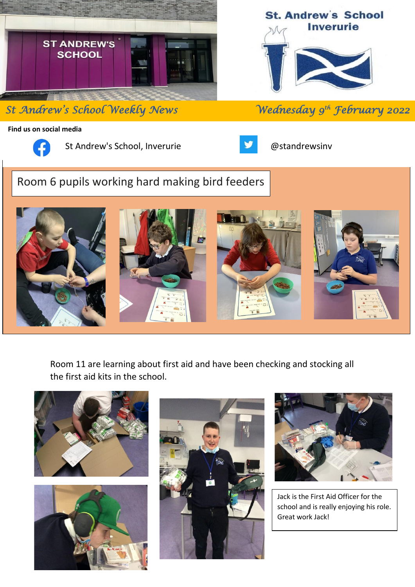

**St Andrew's School Weekly News** 

**St. Andrew's School Inverurie** 

*th February 2022* 

**Find us on social media**



St Andrew's School, Inverurie **Constanting Constanting Constanting Constanting Constanting Constanting Constanting Constanting Constanting Constanting Constanting Constanting Constanting Constanting Constanting Constanting** 



# Room 6 pupils working hard making bird feeders



Room 11 are learning about first aid and have been checking and stocking all the first aid kits in the school.







Jack is the First Aid Officer for the school and is really enjoying his role. Great work Jack!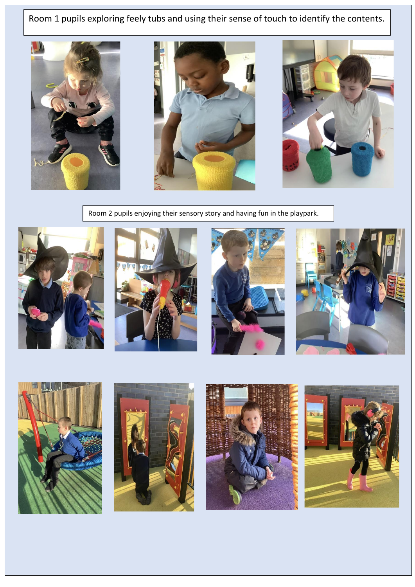Room 1 pupils exploring feely tubs and using their sense of touch to identify the contents.







Room 2 pupils enjoying their sensory story and having fun in the playpark.















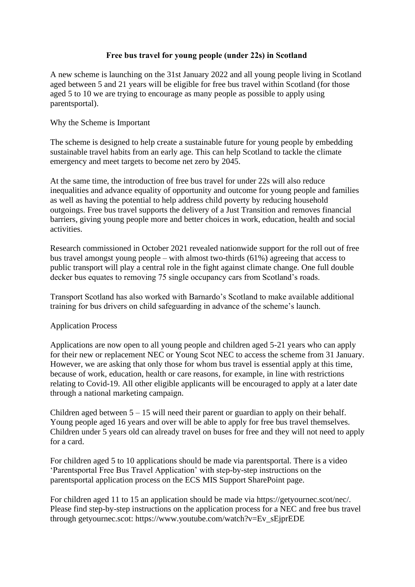## **Free bus travel for young people (under 22s) in Scotland**

A new scheme is launching on the 31st January 2022 and all young people living in Scotland aged between 5 and 21 years will be eligible for free bus travel within Scotland (for those aged 5 to 10 we are trying to encourage as many people as possible to apply using parentsportal).

## Why the Scheme is Important

The scheme is designed to help create a sustainable future for young people by embedding sustainable travel habits from an early age. This can help Scotland to tackle the climate emergency and meet targets to become net zero by 2045.

At the same time, the introduction of free bus travel for under 22s will also reduce inequalities and advance equality of opportunity and outcome for young people and families as well as having the potential to help address child poverty by reducing household outgoings. Free bus travel supports the delivery of a Just Transition and removes financial barriers, giving young people more and better choices in work, education, health and social activities.

Research commissioned in October 2021 revealed nationwide support for the roll out of free bus travel amongst young people – with almost two-thirds (61%) agreeing that access to public transport will play a central role in the fight against climate change. One full double decker bus equates to removing 75 single occupancy cars from Scotland's roads.

Transport Scotland has also worked with Barnardo's Scotland to make available additional training for bus drivers on child safeguarding in advance of the scheme's launch.

### Application Process

Applications are now open to all young people and children aged 5-21 years who can apply for their new or replacement NEC or Young Scot NEC to access the scheme from 31 January. However, we are asking that only those for whom bus travel is essential apply at this time, because of work, education, health or care reasons, for example, in line with restrictions relating to Covid-19. All other eligible applicants will be encouraged to apply at a later date through a national marketing campaign.

Children aged between  $5 - 15$  will need their parent or guardian to apply on their behalf. Young people aged 16 years and over will be able to apply for free bus travel themselves. Children under 5 years old can already travel on buses for free and they will not need to apply for a card.

For children aged 5 to 10 applications should be made via parentsportal. There is a video 'Parentsportal Free Bus Travel Application' with step-by-step instructions on the parentsportal application process on the ECS MIS Support SharePoint page.

For children aged 11 to 15 an application should be made via https://getyournec.scot/nec/. Please find step-by-step instructions on the application process for a NEC and free bus travel through getyournec.scot: https://www.youtube.com/watch?v=Ev\_sEjprEDE